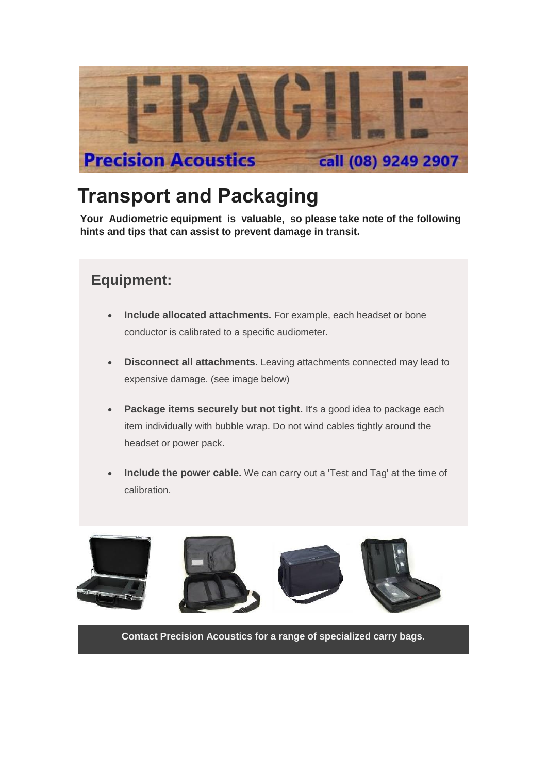

# **Transport and Packaging**

 **Your Audiometric equipment is valuable, so please take note of the following hints and tips that can assist to prevent damage in transit.**

## **Equipment:**

- **Include allocated attachments.** For example, each headset or bone conductor is calibrated to a specific audiometer.
- **Disconnect all attachments**. Leaving attachments connected may lead to expensive damage. (see image below)
- **Package items securely but not tight.** It's a good idea to package each item individually with bubble wrap. Do not wind cables tightly around the headset or power pack.
- **Include the power cable.** We can carry out a 'Test and Tag' at the time of calibration.



**Contact Precision Acoustics for a range of specialized carry bags.**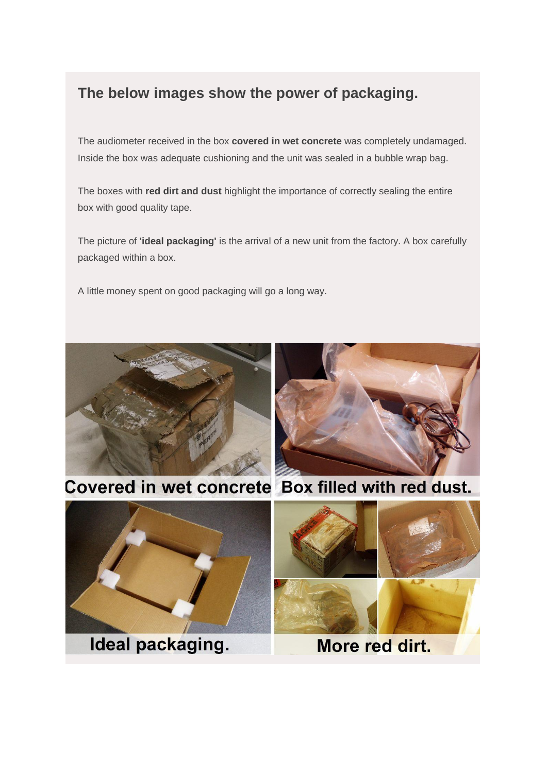## **The below images show the power of packaging.**

The audiometer received in the box **covered in wet concrete** was completely undamaged. Inside the box was adequate cushioning and the unit was sealed in a bubble wrap bag.

The boxes with **red dirt and dust** highlight the importance of correctly sealing the entire box with good quality tape.

The picture of **'ideal packaging'** is the arrival of a new unit from the factory. A box carefully packaged within a box.

A little money spent on good packaging will go a long way.